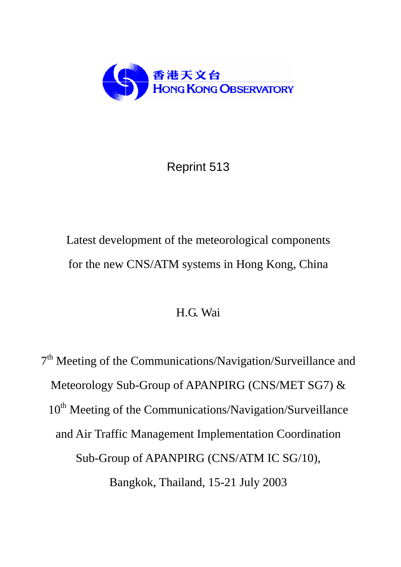

## Reprint 513

# Latest development of the meteorological components for the new CNS/ATM systems in Hong Kong, China

### H.G. Wai

7<sup>th</sup> Meeting of the Communications/Navigation/Surveillance and Meteorology Sub-Group of APANPIRG (CNS/MET SG7) & 10<sup>th</sup> Meeting of the Communications/Navigation/Surveillance and Air Traffic Management Implementation Coordination Sub-Group of APANPIRG (CNS/ATM IC SG/10), Bangkok, Thailand, 15-21 July 2003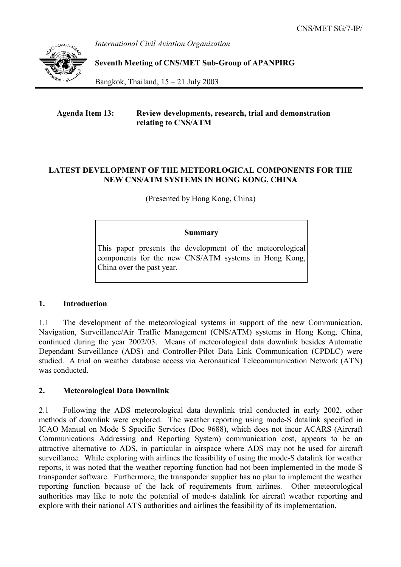*International Civil Aviation Organization* 



**Seventh Meeting of CNS/MET Sub-Group of APANPIRG** 

Bangkok, Thailand,  $15 - 21$  July 2003

#### **Agenda Item 13: Review developments, research, trial and demonstration relating to CNS/ATM**

#### **LATEST DEVELOPMENT OF THE METEORLOGICAL COMPONENTS FOR THE NEW CNS/ATM SYSTEMS IN HONG KONG, CHINA**

(Presented by Hong Kong, China)

#### **Summary**

This paper presents the development of the meteorological components for the new CNS/ATM systems in Hong Kong, China over the past year.

#### **1. Introduction**

1.1 The development of the meteorological systems in support of the new Communication, Navigation, Surveillance/Air Traffic Management (CNS/ATM) systems in Hong Kong, China, continued during the year 2002/03. Means of meteorological data downlink besides Automatic Dependant Surveillance (ADS) and Controller-Pilot Data Link Communication (CPDLC) were studied. A trial on weather database access via Aeronautical Telecommunication Network (ATN) was conducted.

#### **2. Meteorological Data Downlink**

2.1 Following the ADS meteorological data downlink trial conducted in early 2002, other methods of downlink were explored. The weather reporting using mode-S datalink specified in ICAO Manual on Mode S Specific Services (Doc 9688), which does not incur ACARS (Aircraft Communications Addressing and Reporting System) communication cost, appears to be an attractive alternative to ADS, in particular in airspace where ADS may not be used for aircraft surveillance. While exploring with airlines the feasibility of using the mode-S datalink for weather reports, it was noted that the weather reporting function had not been implemented in the mode-S transponder software. Furthermore, the transponder supplier has no plan to implement the weather reporting function because of the lack of requirements from airlines. Other meteorological authorities may like to note the potential of mode-s datalink for aircraft weather reporting and explore with their national ATS authorities and airlines the feasibility of its implementation.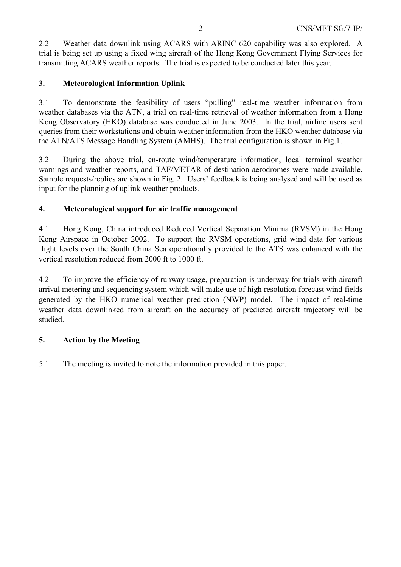2.2 Weather data downlink using ACARS with ARINC 620 capability was also explored. A trial is being set up using a fixed wing aircraft of the Hong Kong Government Flying Services for transmitting ACARS weather reports. The trial is expected to be conducted later this year.

#### **3. Meteorological Information Uplink**

3.1 To demonstrate the feasibility of users "pulling" real-time weather information from weather databases via the ATN, a trial on real-time retrieval of weather information from a Hong Kong Observatory (HKO) database was conducted in June 2003. In the trial, airline users sent queries from their workstations and obtain weather information from the HKO weather database via the ATN/ATS Message Handling System (AMHS). The trial configuration is shown in Fig.1.

3.2 During the above trial, en-route wind/temperature information, local terminal weather warnings and weather reports, and TAF/METAR of destination aerodromes were made available. Sample requests/replies are shown in Fig. 2. Users' feedback is being analysed and will be used as input for the planning of uplink weather products.

#### **4. Meteorological support for air traffic management**

4.1 Hong Kong, China introduced Reduced Vertical Separation Minima (RVSM) in the Hong Kong Airspace in October 2002. To support the RVSM operations, grid wind data for various flight levels over the South China Sea operationally provided to the ATS was enhanced with the vertical resolution reduced from 2000 ft to 1000 ft.

4.2 To improve the efficiency of runway usage, preparation is underway for trials with aircraft arrival metering and sequencing system which will make use of high resolution forecast wind fields generated by the HKO numerical weather prediction (NWP) model. The impact of real-time weather data downlinked from aircraft on the accuracy of predicted aircraft trajectory will be studied.

#### **5. Action by the Meeting**

5.1 The meeting is invited to note the information provided in this paper.